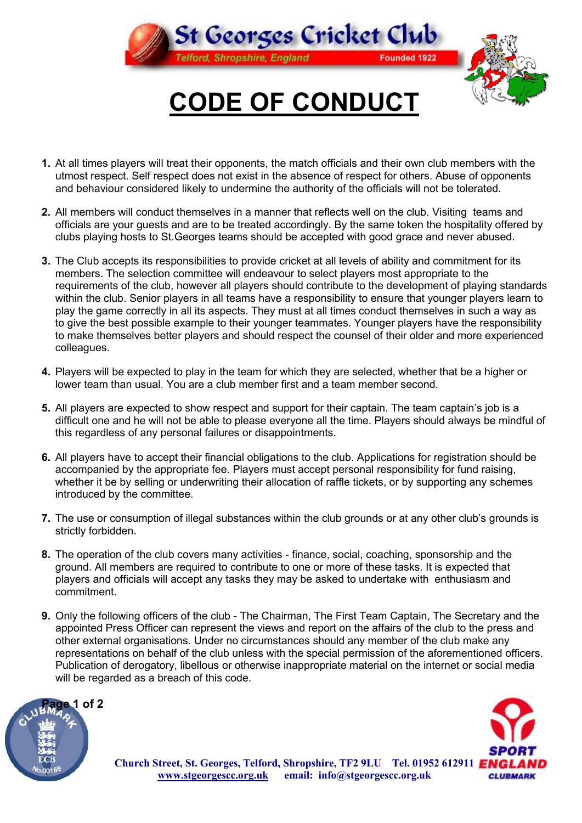

**CODE OF CONDUCT**

- **1.** At all times players will treat their opponents, the match officials and their own club members with the utmost respect. Self respect does not exist in the absence of respect for others. Abuse of opponents and behaviour considered likely to undermine the authority of the officials will not be tolerated.
- **2.** All members will conduct themselves in a manner that reflects well on the club. Visiting teams and officials are your guests and are to be treated accordingly. By the same token the hospitality offered by clubs playing hosts to St.Georges teams should be accepted with good grace and never abused.
- **3.** The Club accepts its responsibilities to provide cricket at all levels of ability and commitment for its members. The selection committee will endeavour to select players most appropriate to the requirements of the club, however all players should contribute to the development of playing standards within the club. Senior players in all teams have a responsibility to ensure that younger players learn to play the game correctly in all its aspects. They must at all times conduct themselves in such a way as to give the best possible example to their younger teammates. Younger players have the responsibility to make themselves better players and should respect the counsel of their older and more experienced colleagues.
- **4.** Players will be expected to play in the team for which they are selected, whether that be a higher or lower team than usual. You are a club member first and a team member second.
- **5.** All players are expected to show respect and support for their captain. The team captain's job is a difficult one and he will not be able to please everyone all the time. Players should always be mindful of this regardless of any personal failures or disappointments.
- **6.** All players have to accept their financial obligations to the club. Applications for registration should be accompanied by the appropriate fee. Players must accept personal responsibility for fund raising, whether it be by selling or underwriting their allocation of raffle tickets, or by supporting any schemes introduced by the committee.
- **7.** The use or consumption of illegal substances within the club grounds or at any other club's grounds is strictly forbidden.
- **8.** The operation of the club covers many activities finance, social, coaching, sponsorship and the ground. All members are required to contribute to one or more of these tasks. It is expected that players and officials will accept any tasks they may be asked to undertake with enthusiasm and commitment.
- **9.** Only the following officers of the club The Chairman, The First Team Captain, The Secretary and the appointed Press Officer can represent the views and report on the affairs of the club to the press and other external organisations. Under no circumstances should any member of the club make any representations on behalf of the club unless with the special permission of the aforementioned officers. Publication of derogatory, libellous or otherwise inappropriate material on the internet or social media will be regarded as a breach of this code.





**Church Street, St. Georges, Telford, Shropshire, TF2 9LU Tel.01952 612911 [www.stgeorgescc.org.uk](http://www.sgeorges.clara.net) email: info@stgeorgescc.org.uk**